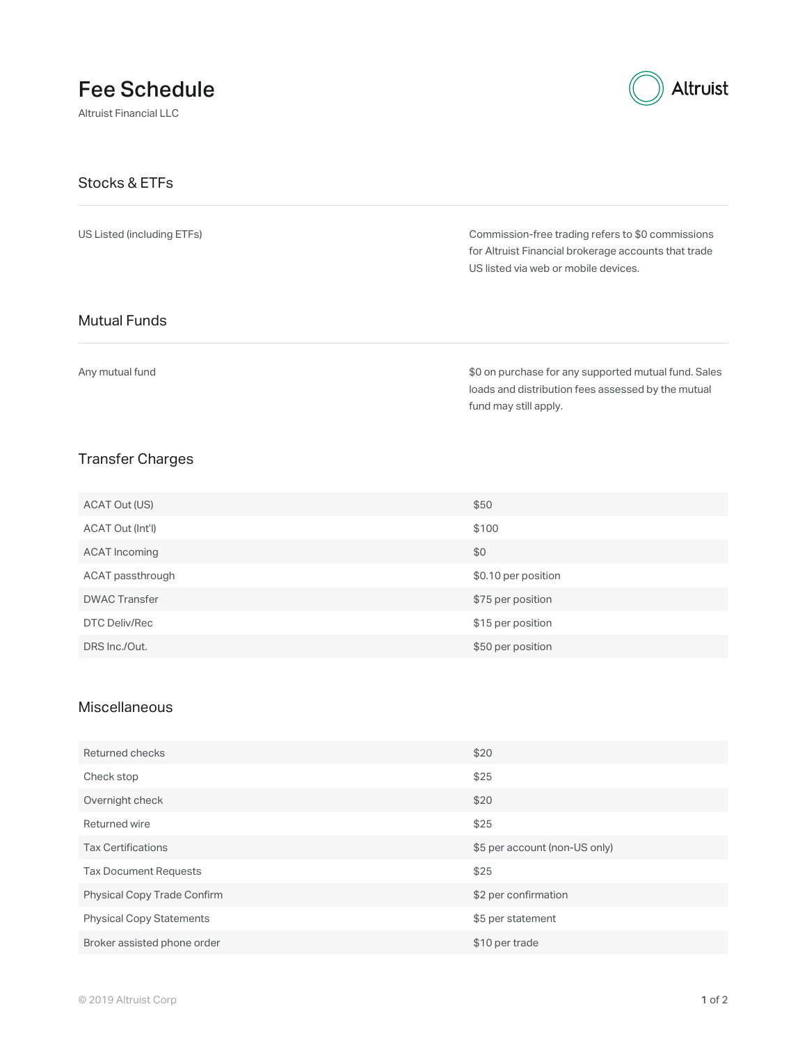# Fee Schedule

Altruist Financial LLC



#### Stocks & ETFs

US Listed (including ETFs)

Commission-free trading refers to \$0 commissions for Altruist Financial brokerage accounts that trade US listed via web or mobile devices.

### Mutual Funds

Any mutual fund

\$0 on purchase for any supported mutual fund. Sales loads and distribution fees assessed by the mutual fund may still apply.

### Transfer Charges

| ACAT Out (US)        | \$50                |
|----------------------|---------------------|
| ACAT Out (Int'l)     | \$100               |
| ACAT Incoming        | \$0                 |
| ACAT passthrough     | \$0.10 per position |
| <b>DWAC Transfer</b> | \$75 per position   |
| DTC Deliv/Rec        | \$15 per position   |
| DRS Inc./Out.        | \$50 per position   |

#### **Miscellaneous**

| Returned checks                 | \$20                          |
|---------------------------------|-------------------------------|
| Check stop                      | \$25                          |
| Overnight check                 | \$20                          |
| Returned wire                   | \$25                          |
| <b>Tax Certifications</b>       | \$5 per account (non-US only) |
| <b>Tax Document Requests</b>    | \$25                          |
| Physical Copy Trade Confirm     | \$2 per confirmation          |
| <b>Physical Copy Statements</b> | \$5 per statement             |
| Broker assisted phone order     | \$10 per trade                |